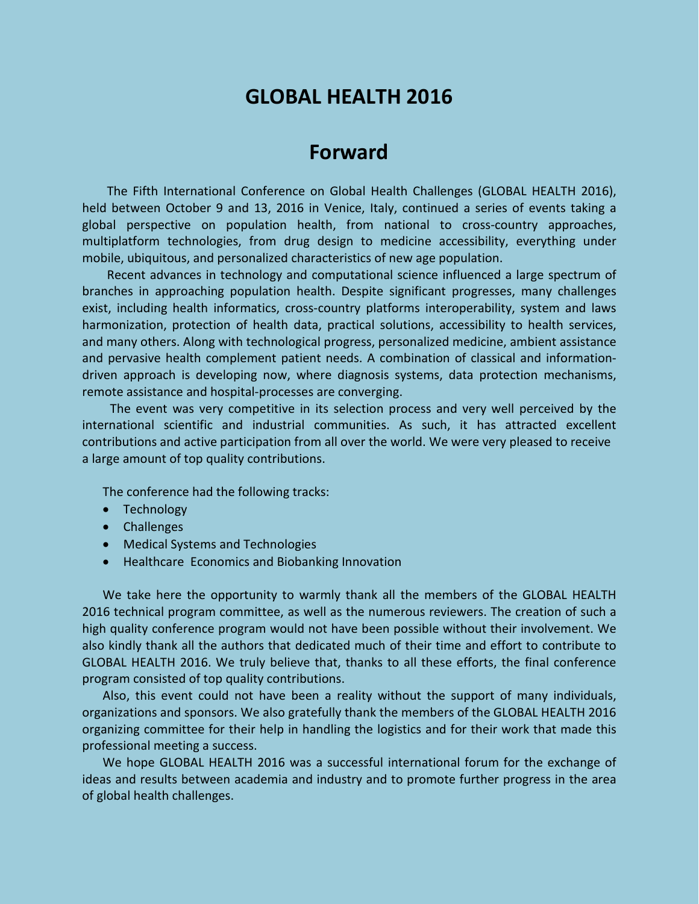# **GLOBAL HEALTH 2016**

## **Forward**

The Fifth International Conference on Global Health Challenges (GLOBAL HEALTH 2016), held between October 9 and 13, 2016 in Venice, Italy, continued a series of events taking a global perspective on population health, from national to cross-country approaches, multiplatform technologies, from drug design to medicine accessibility, everything under mobile, ubiquitous, and personalized characteristics of new age population.

Recent advances in technology and computational science influenced a large spectrum of branches in approaching population health. Despite significant progresses, many challenges exist, including health informatics, cross-country platforms interoperability, system and laws harmonization, protection of health data, practical solutions, accessibility to health services, and many others. Along with technological progress, personalized medicine, ambient assistance and pervasive health complement patient needs. A combination of classical and informationdriven approach is developing now, where diagnosis systems, data protection mechanisms, remote assistance and hospital-processes are converging.

The event was very competitive in its selection process and very well perceived by the international scientific and industrial communities. As such, it has attracted excellent contributions and active participation from all over the world. We were very pleased to receive a large amount of top quality contributions.

The conference had the following tracks:

- Technology
- Challenges
- Medical Systems and Technologies
- Healthcare Economics and Biobanking Innovation

We take here the opportunity to warmly thank all the members of the GLOBAL HEALTH 2016 technical program committee, as well as the numerous reviewers. The creation of such a high quality conference program would not have been possible without their involvement. We also kindly thank all the authors that dedicated much of their time and effort to contribute to GLOBAL HEALTH 2016. We truly believe that, thanks to all these efforts, the final conference program consisted of top quality contributions.

Also, this event could not have been a reality without the support of many individuals, organizations and sponsors. We also gratefully thank the members of the GLOBAL HEALTH 2016 organizing committee for their help in handling the logistics and for their work that made this professional meeting a success.

We hope GLOBAL HEALTH 2016 was a successful international forum for the exchange of ideas and results between academia and industry and to promote further progress in the area of global health challenges.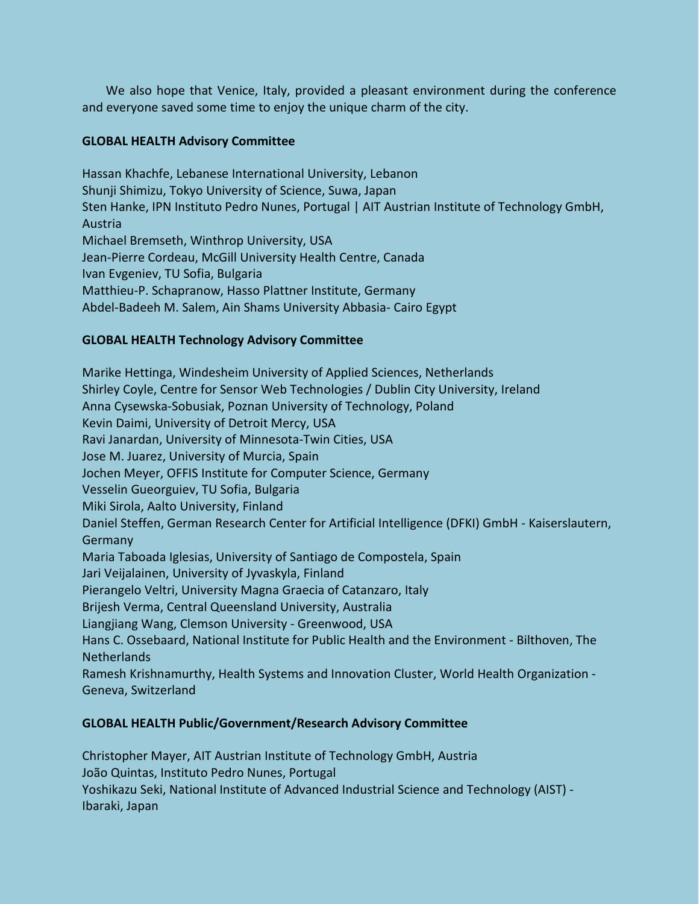We also hope that Venice, Italy, provided a pleasant environment during the conference and everyone saved some time to enjoy the unique charm of the city.

### **GLOBAL HEALTH Advisory Committee**

Hassan Khachfe, Lebanese International University, Lebanon Shunji Shimizu, Tokyo University of Science, Suwa, Japan Sten Hanke, IPN Instituto Pedro Nunes, Portugal | AIT Austrian Institute of Technology GmbH, Austria Michael Bremseth, Winthrop University, USA Jean-Pierre Cordeau, McGill University Health Centre, Canada Ivan Evgeniev, TU Sofia, Bulgaria Matthieu-P. Schapranow, Hasso Plattner Institute, Germany Abdel-Badeeh M. Salem, Ain Shams University Abbasia- Cairo Egypt

#### **GLOBAL HEALTH Technology Advisory Committee**

Marike Hettinga, Windesheim University of Applied Sciences, Netherlands Shirley Coyle, Centre for Sensor Web Technologies / Dublin City University, Ireland Anna Cysewska-Sobusiak, Poznan University of Technology, Poland Kevin Daimi, University of Detroit Mercy, USA Ravi Janardan, University of Minnesota-Twin Cities, USA Jose M. Juarez, University of Murcia, Spain Jochen Meyer, OFFIS Institute for Computer Science, Germany Vesselin Gueorguiev, TU Sofia, Bulgaria Miki Sirola, Aalto University, Finland Daniel Steffen, German Research Center for Artificial Intelligence (DFKI) GmbH - Kaiserslautern, Germany Maria Taboada Iglesias, University of Santiago de Compostela, Spain Jari Veijalainen, University of Jyvaskyla, Finland Pierangelo Veltri, University Magna Graecia of Catanzaro, Italy Brijesh Verma, Central Queensland University, Australia Liangjiang Wang, Clemson University - Greenwood, USA Hans C. Ossebaard, National Institute for Public Health and the Environment - Bilthoven, The **Netherlands** Ramesh Krishnamurthy, Health Systems and Innovation Cluster, World Health Organization - Geneva, Switzerland

#### **GLOBAL HEALTH Public/Government/Research Advisory Committee**

Christopher Mayer, AIT Austrian Institute of Technology GmbH, Austria João Quintas, Instituto Pedro Nunes, Portugal Yoshikazu Seki, National Institute of Advanced Industrial Science and Technology (AIST) - Ibaraki, Japan